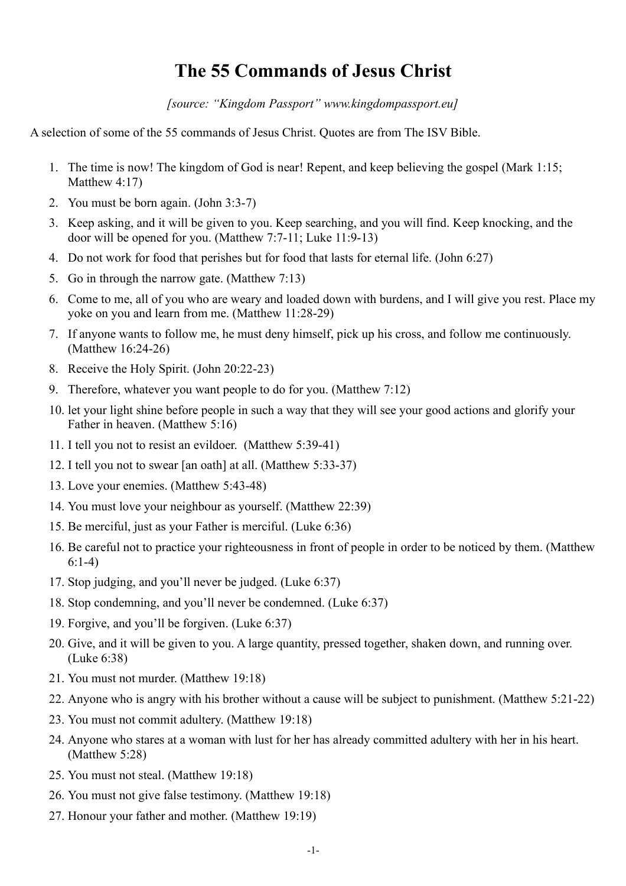## **The 55 Commands of Jesus Christ**

*[source: "Kingdom Passport" www.kingdompassport.eu]*

A selection of some of the 55 commands of Jesus Christ. Quotes are from The ISV Bible.

- 1. The time is now! The kingdom of God is near! Repent, and keep believing the gospel (Mark 1:15; Matthew 4:17)
- 2. You must be born again. (John 3:3-7)
- 3. Keep asking, and it will be given to you. Keep searching, and you will find. Keep knocking, and the door will be opened for you. (Matthew 7:7-11; Luke 11:9-13)
- 4. Do not work for food that perishes but for food that lasts for eternal life. (John 6:27)
- 5. Go in through the narrow gate. (Matthew 7:13)
- 6. Come to me, all of you who are weary and loaded down with burdens, and I will give you rest. Place my yoke on you and learn from me. (Matthew 11:28-29)
- 7. If anyone wants to follow me, he must deny himself, pick up his cross, and follow me continuously. (Matthew 16:24-26)
- 8. Receive the Holy Spirit. (John 20:22-23)
- 9. Therefore, whatever you want people to do for you. (Matthew 7:12)
- 10. let your light shine before people in such a way that they will see your good actions and glorify your Father in heaven. (Matthew 5:16)
- 11. I tell you not to resist an evildoer. (Matthew 5:39-41)
- 12. I tell you not to swear [an oath] at all. (Matthew 5:33-37)
- 13. Love your enemies. (Matthew 5:43-48)
- 14. You must love your neighbour as yourself. (Matthew 22:39)
- 15. Be merciful, just as your Father is merciful. (Luke 6:36)
- 16. Be careful not to practice your righteousness in front of people in order to be noticed by them. (Matthew 6:1-4)
- 17. Stop judging, and you'll never be judged. (Luke 6:37)
- 18. Stop condemning, and you'll never be condemned. (Luke 6:37)
- 19. Forgive, and you'll be forgiven. (Luke 6:37)
- 20. Give, and it will be given to you. A large quantity, pressed together, shaken down, and running over. (Luke 6:38)
- 21. You must not murder. (Matthew 19:18)
- 22. Anyone who is angry with his brother without a cause will be subject to punishment. (Matthew 5:21-22)
- 23. You must not commit adultery. (Matthew 19:18)
- 24. Anyone who stares at a woman with lust for her has already committed adultery with her in his heart. (Matthew 5:28)
- 25. You must not steal. (Matthew 19:18)
- 26. You must not give false testimony. (Matthew 19:18)
- 27. Honour your father and mother. (Matthew 19:19)